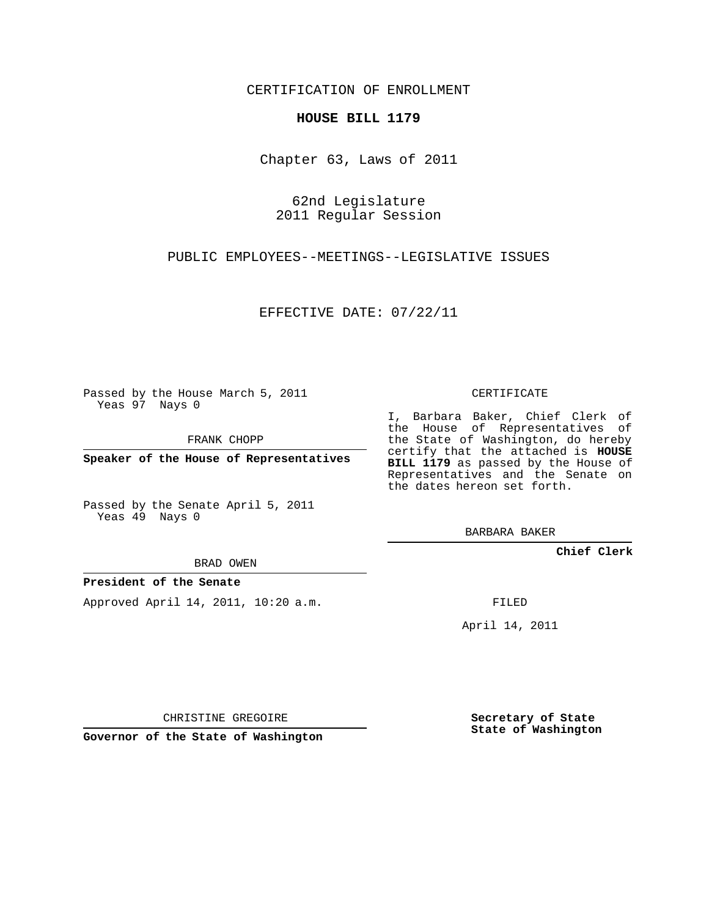CERTIFICATION OF ENROLLMENT

## **HOUSE BILL 1179**

Chapter 63, Laws of 2011

62nd Legislature 2011 Regular Session

PUBLIC EMPLOYEES--MEETINGS--LEGISLATIVE ISSUES

EFFECTIVE DATE: 07/22/11

Passed by the House March 5, 2011 Yeas 97 Nays 0

FRANK CHOPP

**Speaker of the House of Representatives**

Passed by the Senate April 5, 2011 Yeas 49 Nays 0

BRAD OWEN

## **President of the Senate**

Approved April 14, 2011, 10:20 a.m.

CERTIFICATE

I, Barbara Baker, Chief Clerk of the House of Representatives of the State of Washington, do hereby certify that the attached is **HOUSE BILL 1179** as passed by the House of Representatives and the Senate on

BARBARA BAKER

**Chief Clerk**

FILED

April 14, 2011

**Secretary of State State of Washington**

CHRISTINE GREGOIRE

**Governor of the State of Washington**

the dates hereon set forth.